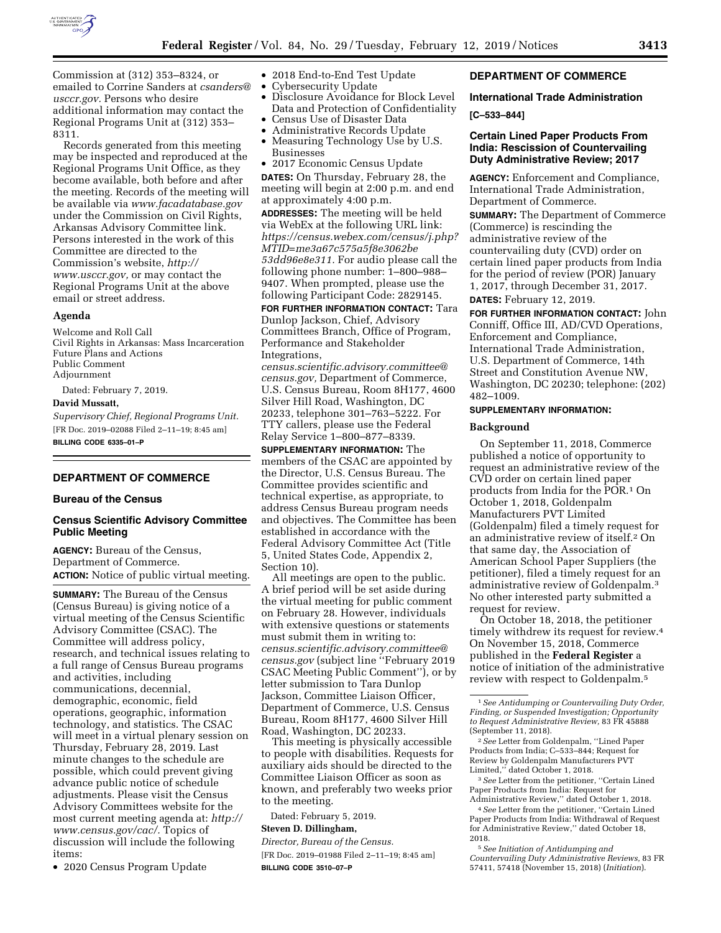

Commission at (312) 353–8324, or emailed to Corrine Sanders at *[csanders@](mailto:csanders@usccr.gov) [usccr.gov.](mailto:csanders@usccr.gov)* Persons who desire additional information may contact the Regional Programs Unit at (312) 353– 8311.

Records generated from this meeting may be inspected and reproduced at the Regional Programs Unit Office, as they become available, both before and after the meeting. Records of the meeting will be available via *[www.facadatabase.gov](http://www.facadatabase.gov)*  under the Commission on Civil Rights, Arkansas Advisory Committee link. Persons interested in the work of this Committee are directed to the Commission's website, *[http://](http://www.usccr.gov) [www.usccr.gov,](http://www.usccr.gov)* or may contact the Regional Programs Unit at the above email or street address.

## **Agenda**

Welcome and Roll Call Civil Rights in Arkansas: Mass Incarceration Future Plans and Actions Public Comment Adjournment

Dated: February 7, 2019.

## **David Mussatt,**

*Supervisory Chief, Regional Programs Unit.*  [FR Doc. 2019–02088 Filed 2–11–19; 8:45 am] **BILLING CODE 6335–01–P** 

# **DEPARTMENT OF COMMERCE**

### **Bureau of the Census**

# **Census Scientific Advisory Committee Public Meeting**

**AGENCY:** Bureau of the Census, Department of Commerce. **ACTION:** Notice of public virtual meeting.

**SUMMARY:** The Bureau of the Census (Census Bureau) is giving notice of a virtual meeting of the Census Scientific Advisory Committee (CSAC). The Committee will address policy, research, and technical issues relating to a full range of Census Bureau programs and activities, including communications, decennial, demographic, economic, field operations, geographic, information technology, and statistics. The CSAC will meet in a virtual plenary session on Thursday, February 28, 2019. Last minute changes to the schedule are possible, which could prevent giving advance public notice of schedule adjustments. Please visit the Census Advisory Committees website for the most current meeting agenda at: *[http://](http://www.census.gov/cac/)  [www.census.gov/cac/.](http://www.census.gov/cac/)* Topics of discussion will include the following items:

• 2020 Census Program Update

- 2018 End-to-End Test Update
- Cybersecurity Update
- Disclosure Avoidance for Block Level Data and Protection of Confidentiality • Census Use of Disaster Data
- Administrative Records Update
- Measuring Technology Use by U.S. Businesses

• 2017 Economic Census Update **DATES:** On Thursday, February 28, the meeting will begin at 2:00 p.m. and end at approximately 4:00 p.m.

**ADDRESSES:** The meeting will be held via WebEx at the following URL link: *[https://census.webex.com/census/j.php?](https://census.webex.com/census/j.php?MTID=me3a67c575a5f8e3062be53dd96e8e311) [MTID=me3a67c575a5f8e3062be](https://census.webex.com/census/j.php?MTID=me3a67c575a5f8e3062be53dd96e8e311) [53dd96e8e311.](https://census.webex.com/census/j.php?MTID=me3a67c575a5f8e3062be53dd96e8e311)* For audio please call the following phone number: 1–800–988– 9407. When prompted, please use the following Participant Code: 2829145.

**FOR FURTHER INFORMATION CONTACT:** Tara Dunlop Jackson, Chief, Advisory Committees Branch, Office of Program, Performance and Stakeholder Integrations,

*[census.scientific.advisory.committee@](mailto:census.scientific.advisory.committee@census.gov) [census.gov,](mailto:census.scientific.advisory.committee@census.gov)* Department of Commerce, U.S. Census Bureau, Room 8H177, 4600 Silver Hill Road, Washington, DC 20233, telephone 301–763–5222. For TTY callers, please use the Federal Relay Service 1–800–877–8339.

**SUPPLEMENTARY INFORMATION:** The members of the CSAC are appointed by the Director, U.S. Census Bureau. The Committee provides scientific and technical expertise, as appropriate, to address Census Bureau program needs and objectives. The Committee has been established in accordance with the Federal Advisory Committee Act (Title 5, United States Code, Appendix 2, Section 10).

All meetings are open to the public. A brief period will be set aside during the virtual meeting for public comment on February 28. However, individuals with extensive questions or statements must submit them in writing to: *[census.scientific.advisory.committee@](mailto:census.scientific.advisory.committee@census.gov) [census.gov](mailto:census.scientific.advisory.committee@census.gov)* (subject line ''February 2019 CSAC Meeting Public Comment''), or by letter submission to Tara Dunlop Jackson, Committee Liaison Officer, Department of Commerce, U.S. Census Bureau, Room 8H177, 4600 Silver Hill Road, Washington, DC 20233.

This meeting is physically accessible to people with disabilities. Requests for auxiliary aids should be directed to the Committee Liaison Officer as soon as known, and preferably two weeks prior to the meeting.

Dated: February 5, 2019.

# **Steven D. Dillingham,**

*Director, Bureau of the Census.* 

[FR Doc. 2019–01988 Filed 2–11–19; 8:45 am] **BILLING CODE 3510–07–P** 

## **DEPARTMENT OF COMMERCE**

**International Trade Administration [C–533–844]** 

## **Certain Lined Paper Products From India: Rescission of Countervailing Duty Administrative Review; 2017**

**AGENCY:** Enforcement and Compliance, International Trade Administration, Department of Commerce.

**SUMMARY:** The Department of Commerce (Commerce) is rescinding the administrative review of the countervailing duty (CVD) order on certain lined paper products from India for the period of review (POR) January 1, 2017, through December 31, 2017. **DATES:** February 12, 2019.

**FOR FURTHER INFORMATION CONTACT:** John Conniff, Office III, AD/CVD Operations, Enforcement and Compliance, International Trade Administration, U.S. Department of Commerce, 14th Street and Constitution Avenue NW, Washington, DC 20230; telephone: (202) 482–1009.

### **SUPPLEMENTARY INFORMATION:**

#### **Background**

On September 11, 2018, Commerce published a notice of opportunity to request an administrative review of the CVD order on certain lined paper products from India for the POR.1 On October 1, 2018, Goldenpalm Manufacturers PVT Limited (Goldenpalm) filed a timely request for an administrative review of itself.2 On that same day, the Association of American School Paper Suppliers (the petitioner), filed a timely request for an administrative review of Goldenpalm.3 No other interested party submitted a request for review.

On October 18, 2018, the petitioner timely withdrew its request for review.4 On November 15, 2018, Commerce published in the **Federal Register** a notice of initiation of the administrative review with respect to Goldenpalm.5

3*See* Letter from the petitioner, ''Certain Lined Paper Products from India: Request for Administrative Review,'' dated October 1, 2018.

4*See* Letter from the petitioner, ''Certain Lined Paper Products from India: Withdrawal of Request for Administrative Review,'' dated October 18, 2018.

5*See Initiation of Antidumping and Countervailing Duty Administrative Reviews,* 83 FR 57411, 57418 (November 15, 2018) (*Initiation*).

<sup>1</sup>*See Antidumping or Countervailing Duty Order, Finding, or Suspended Investigation; Opportunity to Request Administrative Review,* 83 FR 45888 (September 11, 2018).

<sup>2</sup>*See* Letter from Goldenpalm, ''Lined Paper Products from India; C–533–844; Request for Review by Goldenpalm Manufacturers PVT Limited,'' dated October 1, 2018.